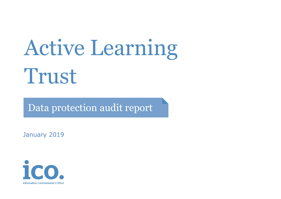# Active Learning Trust

Data protection audit report

January 2019

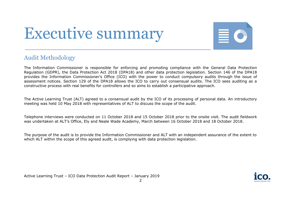## Executive summary



#### Audit Methodology

The Information Commissioner is responsible for enforcing and promoting compliance with the General Data Protection Regulation (GDPR), the Data Protection Act 2018 (DPA18) and other data protection legislation. Section 146 of the DPA18 provides the Information Commissioner's Office (ICO) with the power to conduct compulsory audits through the issue of assessment notices. Section 129 of the DPA18 allows the ICO to carry out consensual audits. The ICO sees auditing as a constructive process with real benefits for controllers and so aims to establish a participative approach.

The Active Learning Trust (ALT) agreed to a consensual audit by the ICO of its processing of personal data. An introductory meeting was held 10 May 2018 with representatives of ALT to discuss the scope of the audit.

Telephone interviews were conducted on 11 October 2018 and 15 October 2018 prior to the onsite visit. The audit fieldwork was undertaken at ALT's Office, Ely and Neale Wade Academy, March between 16 October 2018 and 18 October 2018.

The purpose of the audit is to provide the Information Commissioner and ALT with an independent assurance of the extent to which ALT within the scope of this agreed audit, is complying with data protection legislation.

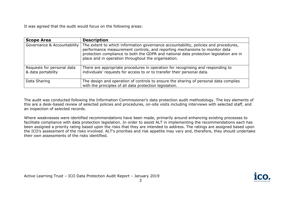It was agreed that the audit would focus on the following areas:

| <b>Scope Area</b>                                | <b>Description</b>                                                                                                                                                                                                                                                                                                 |  |
|--------------------------------------------------|--------------------------------------------------------------------------------------------------------------------------------------------------------------------------------------------------------------------------------------------------------------------------------------------------------------------|--|
| Governance & Accountability                      | The extent to which information governance accountability, policies and procedures,<br>performance measurement controls, and reporting mechanisms to monitor data<br>protection compliance to both the GDPR and national data protection legislation are in<br>place and in operation throughout the organisation. |  |
| Requests for personal data<br>& data portability | There are appropriate procedures in operation for recognising and responding to<br>individuals' requests for access to or to transfer their personal data.                                                                                                                                                         |  |
| Data Sharing                                     | The design and operation of controls to ensure the sharing of personal data complies<br>with the principles of all data protection legislation.                                                                                                                                                                    |  |

The audit was conducted following the Information Commissioner's data protection audit methodology. The key elements of this are a desk-based review of selected policies and procedures, on-site visits including interviews with selected staff, and an inspection of selected records.

Where weaknesses were identified recommendations have been made, primarily around enhancing existing processes to facilitate compliance with data protection legislation. In order to assist ALT in implementing the recommendations each has been assigned a priority rating based upon the risks that they are intended to address. The ratings are assigned based upon the ICO's assessment of the risks involved. ALT's priorities and risk appetite may vary and, therefore, they should undertake their own assessments of the risks identified.

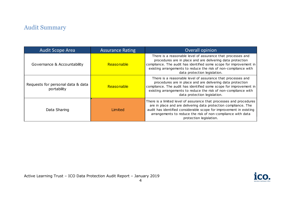### Audit Summary

| <b>Audit Scope Area</b>                          | <b>Assurance Rating</b> | Overall opinion                                                                                                                                                                                                                                                                                         |
|--------------------------------------------------|-------------------------|---------------------------------------------------------------------------------------------------------------------------------------------------------------------------------------------------------------------------------------------------------------------------------------------------------|
| Governance & Accountability                      | Reasonable              | There is a reasonable level of assurance that processes and<br>procedures are in place and are delivering data protection<br>compliance. The audit has identified some scope for improvement in<br>existing arrangements to reduce the risk of non-compliance with<br>data protection legislation.      |
| Requests for personal data & data<br>portability | Reasonable              | There is a reasonable level of assurance that processes and<br>procedures are in place and are delivering data protection<br>compliance. The audit has identified some scope for improvement in<br>existing arrangements to reduce the risk of non-compliance with<br>data protection legislation.      |
| Data Sharing                                     | Limited                 | There is a limited level of assurance that processes and procedures<br>are in place and are delivering data protection compliance. The<br>audit has identified considerable scope for improvement in existing<br>arrangements to reduce the risk of non-compliance with data<br>protection legislation. |

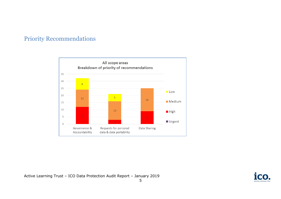#### Priority Recommendations



Active Learning Trust – ICO Data Protection Audit Report – January 2019

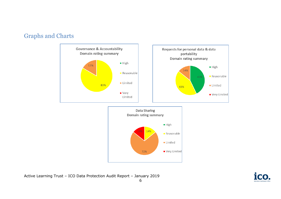#### Graphs and Charts



Active Learning Trust – ICO Data Protection Audit Report – January 2019

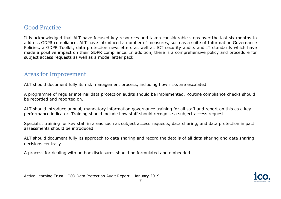#### Good Practice

It is acknowledged that ALT have focused key resources and taken considerable steps over the last six months to address GDPR compliance. ALT have introduced a number of measures, such as a suite of Information Governance Policies, a GDPR Toolkit, data protection newsletters as well as ICT security audits and IT standards which have made a positive impact on their GDPR compliance. In addition, there is a comprehensive policy and procedure for subject access requests as well as a model letter pack.

#### Areas for Improvement

ALT should document fully its risk management process, including how risks are escalated.

A programme of regular internal data protection audits should be implemented. Routine compliance checks should be recorded and reported on.

ALT should introduce annual, mandatory information governance training for all staff and report on this as a key performance indicator. Training should include how staff should recognise a subject access request.

Specialist training for key staff in areas such as subject access requests, data sharing, and data protection impact assessments should be introduced.

ALT should document fully its approach to data sharing and record the details of all data sharing and data sharing decisions centrally.

A process for dealing with ad hoc disclosures should be formulated and embedded.